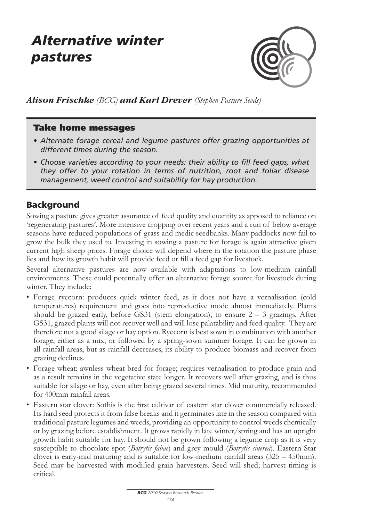# *Alternative winter pastures*



*Alison Frischke (BCG) and Karl Drever (Stephen Pasture Seeds)*

#### Take home messages

- *• Alternate forage cereal and legume pastures offer grazing opportunities at different times during the season.*
- *• Choose varieties according to your needs: their ability to fill feed gaps, what they offer to your rotation in terms of nutrition, root and foliar disease management, weed control and suitability for hay production.*

#### Background

Sowing a pasture gives greater assurance of feed quality and quantity as apposed to reliance on 'regenerating pastures'. More intensive cropping over recent years and a run of below average seasons have reduced populations of grass and medic seedbanks. Many paddocks now fail to grow the bulk they used to. Investing in sowing a pasture for forage is again attractive given current high sheep prices. Forage choice will depend where in the rotation the pasture phase lies and how its growth habit will provide feed or fill a feed gap for livestock.

Several alternative pastures are now available with adaptations to low-medium rainfall environments. These could potentially offer an alternative forage source for livestock during winter. They include:

- • Forage ryecorn: produces quick winter feed, as it does not have a vernalisation (cold temperatures) requirement and goes into reproductive mode almost immediately. Plants should be grazed early, before GS31 (stem elongation), to ensure  $2 - 3$  grazings. After GS31, grazed plants will not recover well and will lose palatability and feed quality. They are therefore not a good silage or hay option. Ryecorn is best sown in combination with another forage, either as a mix, or followed by a spring-sown summer forage. It can be grown in all rainfall areas, but as rainfall decreases, its ability to produce biomass and recover from grazing declines.
- • Forage wheat: awnless wheat bred for forage; requires vernalisation to produce grain and as a result remains in the vegetative state longer. It recovers well after grazing, and is thus suitable for silage or hay, even after being grazed several times. Mid maturity, recommended for 400mm rainfall areas.
- Eastern star clover: Sothis is the first cultivar of eastern star clover commercially released. Its hard seed protects it from false breaks and it germinates late in the season compared with traditional pasture legumes and weeds, providing an opportunity to control weeds chemically or by grazing before establishment. It grows rapidly in late winter/spring and has an upright growth habit suitable for hay. It should not be grown following a legume crop as it is very susceptible to chocolate spot (*Botrytis fabae*) and grey mould (*Botrytis cinerea*). Eastern Star clover is early-mid maturing and is suitable for low-medium rainfall areas (325 – 450mm). Seed may be harvested with modified grain harvesters. Seed will shed; harvest timing is critical.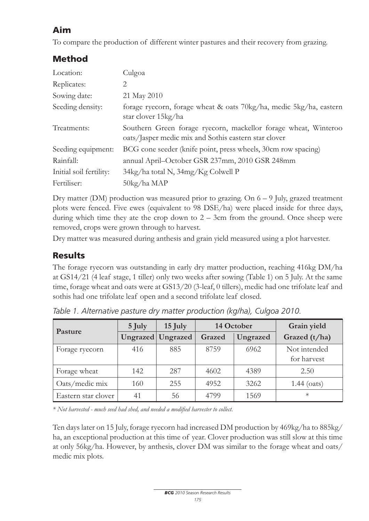## Aim

To compare the production of different winter pastures and their recovery from grazing.

### Method

| Location:               | Culgoa                                                                                                                  |
|-------------------------|-------------------------------------------------------------------------------------------------------------------------|
| Replicates:             | 2                                                                                                                       |
| Sowing date:            | 21 May 2010                                                                                                             |
| Seeding density:        | forage ryecorn, forage wheat & oats 70kg/ha, medic 5kg/ha, eastern<br>star clover 15kg/ha                               |
| Treatments:             | Southern Green forage ryecorn, mackellor forage wheat, Winteroo<br>oats/Jasper medic mix and Sothis eastern star clover |
| Seeding equipment:      | BCG cone seeder (knife point, press wheels, 30cm row spacing)                                                           |
| Rainfall:               | annual April-October GSR 237mm, 2010 GSR 248mm                                                                          |
| Initial soil fertility: | 34kg/ha total N, 34mg/Kg Colwell P                                                                                      |
| Fertiliser:             | 50kg/ha MAP                                                                                                             |

Dry matter (DM) production was measured prior to grazing. On 6 – 9 July, grazed treatment plots were fenced. Five ewes (equivalent to 98 DSE/ha) were placed inside for three days, during which time they ate the crop down to  $2 - 3$ cm from the ground. Once sheep were removed, crops were grown through to harvest.

Dry matter was measured during anthesis and grain yield measured using a plot harvester.

### **Results**

The forage ryecorn was outstanding in early dry matter production, reaching 416kg DM/ha at GS14/21 (4 leaf stage, 1 tiller) only two weeks after sowing (Table 1) on 5 July. At the same time, forage wheat and oats were at GS13/20 (3-leaf, 0 tillers), medic had one trifolate leaf and sothis had one trifolate leaf open and a second trifolate leaf closed.

| Pasture             | 5 July | $15$ July         | 14 October |          | Grain yield                 |
|---------------------|--------|-------------------|------------|----------|-----------------------------|
|                     |        | Ungrazed Ungrazed | Grazed     | Ungrazed | Grazed (t/ha)               |
| Forage ryecorn      | 416    | 885               | 8759       | 6962     | Not intended<br>for harvest |
| Forage wheat        | 142    | 287               | 4602       | 4389     | 2.50                        |
| Oats/medic mix      | 160    | 255               | 4952       | 3262     | $1.44$ (oats)               |
| Eastern star clover | 41     | 56                | 4799       | 1569     | $\ast$                      |

*Table 1. Alternative pasture dry matter production (kg/ha), Culgoa 2010.*

*\* Not harvested - much seed had shed, and needed a modified harvester to collect.* 

Ten days later on 15 July, forage ryecorn had increased DM production by 469kg/ha to 885kg/ ha, an exceptional production at this time of year. Clover production was still slow at this time at only 56kg/ha. However, by anthesis, clover DM was similar to the forage wheat and oats/ medic mix plots.